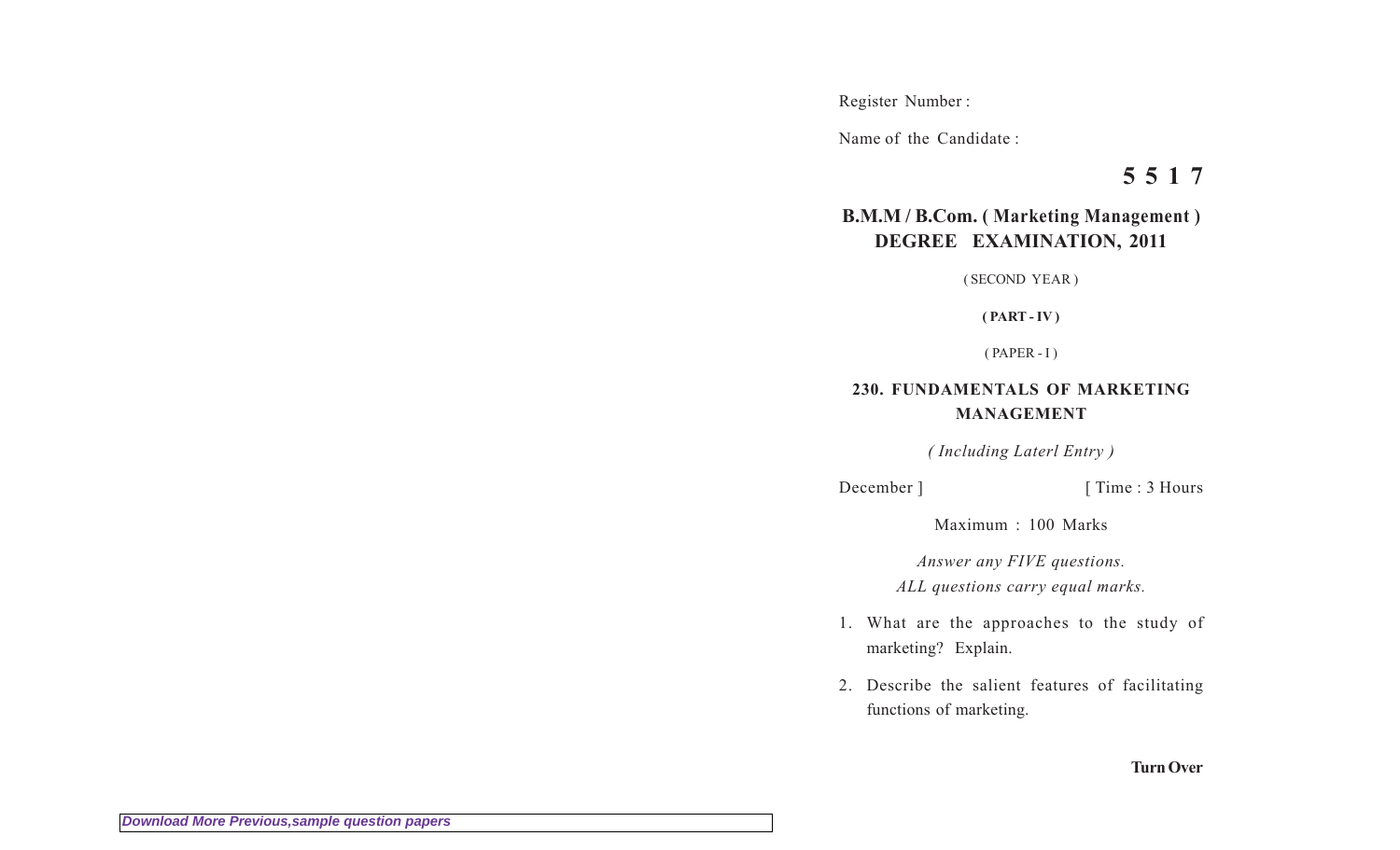Register Number :

Name of the Candidate :

**5 5 1 7**

## **B.M.M / B.Com. ( Marketing Management ) DEGREE EXAMINATION, 2011**

( SECOND YEAR )

**( PART - IV )**

( PAPER - I )

## **230. FUNDAMENTALS OF MARKETING MANAGEMENT**

*( Including Laterl Entry )*

December ] [ Time : 3 Hours

Maximum : 100 Marks

*Answer any FIVE questions. ALL questions carry equal marks.*

- 1. What are the approaches to the study of marketing? Explain.
- 2. Describe the salient features of facilitating functions of marketing.

**Turn Over**